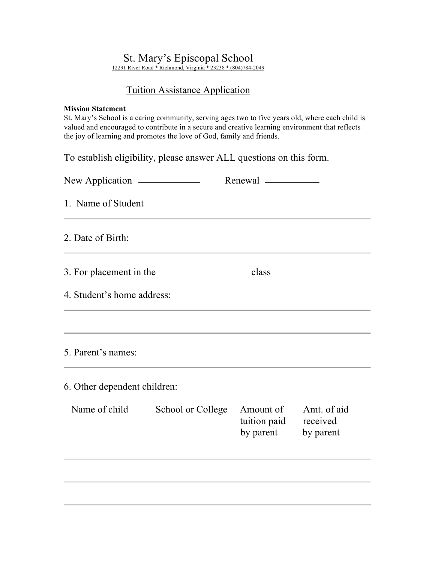## St. Mary's Episcopal School

12291 River Road \* Richmond, Virginia \* 23238 \* (804)784-2049

## Tuition Assistance Application

## **Mission Statement**

St. Mary's School is a caring community, serving ages two to five years old, where each child is valued and encouraged to contribute in a secure and creative learning environment that reflects the joy of learning and promotes the love of God, family and friends.

To establish eligibility, please answer ALL questions on this form.

| 1. Name of Student           |                         |                                                           |             |
|------------------------------|-------------------------|-----------------------------------------------------------|-------------|
| 2. Date of Birth:            |                         |                                                           |             |
|                              | 3. For placement in the | class                                                     |             |
| 4. Student's home address:   |                         |                                                           |             |
|                              |                         |                                                           |             |
| 5. Parent's names:           |                         |                                                           |             |
| 6. Other dependent children: |                         |                                                           |             |
| Name of child                | School or College       | Amount of<br>tuition paid received<br>by parent by parent | Amt. of aid |
|                              |                         |                                                           |             |
|                              |                         |                                                           |             |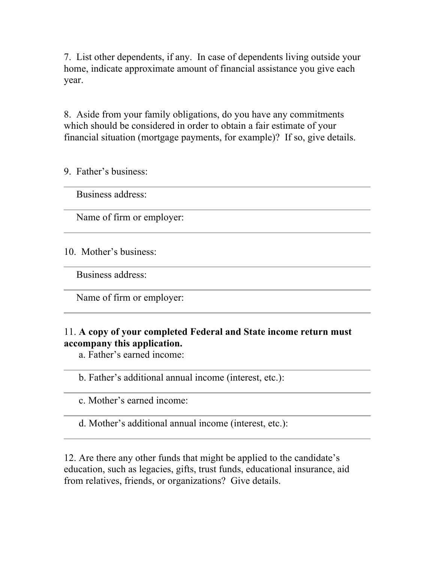7. List other dependents, if any. In case of dependents living outside your home, indicate approximate amount of financial assistance you give each year.

8. Aside from your family obligations, do you have any commitments which should be considered in order to obtain a fair estimate of your financial situation (mortgage payments, for example)? If so, give details.

9. Father's business:

Business address:

Name of firm or employer:

10. Mother's business:

Business address:

Name of firm or employer:

## 11. **A copy of your completed Federal and State income return must accompany this application.**

a. Father's earned income:

b. Father's additional annual income (interest, etc.):

c. Mother's earned income:

d. Mother's additional annual income (interest, etc.):

12. Are there any other funds that might be applied to the candidate's education, such as legacies, gifts, trust funds, educational insurance, aid from relatives, friends, or organizations? Give details.